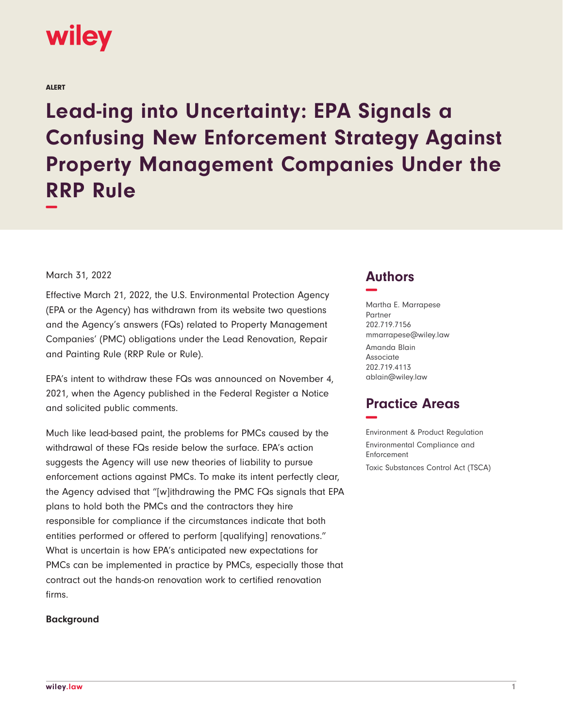# wiley

ALERT

**Lead-ing into Uncertainty: EPA Signals a Confusing New Enforcement Strategy Against Property Management Companies Under the RRP Rule −**

March 31, 2022

Effective March 21, 2022, the U.S. Environmental Protection Agency (EPA or the Agency) has withdrawn from its website two questions and the Agency's answers (FQs) related to Property Management Companies' (PMC) obligations under the Lead Renovation, Repair and Painting Rule (RRP Rule or Rule).

EPA's intent to withdraw these FQs was announced on November 4, 2021, when the Agency published in the Federal Register a Notice and solicited public comments.

Much like lead-based paint, the problems for PMCs caused by the withdrawal of these FQs reside below the surface. EPA's action suggests the Agency will use new theories of liability to pursue enforcement actions against PMCs. To make its intent perfectly clear, the Agency advised that "[w]ithdrawing the PMC FQs signals that EPA plans to hold both the PMCs and the contractors they hire responsible for compliance if the circumstances indicate that both entities performed or offered to perform [qualifying] renovations." What is uncertain is how EPA's anticipated new expectations for PMCs can be implemented in practice by PMCs, especially those that contract out the hands-on renovation work to certified renovation firms.

## **Background**

## **Authors −**

Martha E. Marrapese Partner 202.719.7156 mmarrapese@wiley.law Amanda Blain Associate 202.719.4113 ablain@wiley.law

## **Practice Areas −**

Environment & Product Regulation Environmental Compliance and Enforcement Toxic Substances Control Act (TSCA)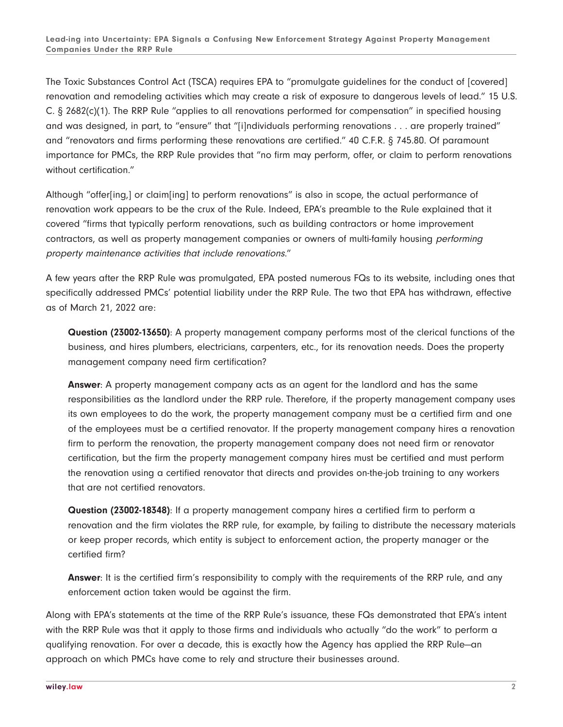The Toxic Substances Control Act (TSCA) requires EPA to "promulgate guidelines for the conduct of [covered] renovation and remodeling activities which may create a risk of exposure to dangerous levels of lead." 15 U.S. C. § 2682(c)(1). The RRP Rule "applies to all renovations performed for compensation" in specified housing and was designed, in part, to "ensure" that "[i]ndividuals performing renovations . . . are properly trained" and "renovators and firms performing these renovations are certified." 40 C.F.R. § 745.80. Of paramount importance for PMCs, the RRP Rule provides that "no firm may perform, offer, or claim to perform renovations without certification."

Although "offer[ing,] or claim[ing] to perform renovations" is also in scope, the actual performance of renovation work appears to be the crux of the Rule. Indeed, EPA's preamble to the Rule explained that it covered "firms that typically perform renovations, such as building contractors or home improvement contractors, as well as property management companies or owners of multi-family housing performing property maintenance activities that include renovations."

A few years after the RRP Rule was promulgated, EPA posted numerous FQs to its website, including ones that specifically addressed PMCs' potential liability under the RRP Rule. The two that EPA has withdrawn, effective as of March 21, 2022 are:

**Question (23002-13650)**: A property management company performs most of the clerical functions of the business, and hires plumbers, electricians, carpenters, etc., for its renovation needs. Does the property management company need firm certification?

**Answer**: A property management company acts as an agent for the landlord and has the same responsibilities as the landlord under the RRP rule. Therefore, if the property management company uses its own employees to do the work, the property management company must be a certified firm and one of the employees must be a certified renovator. If the property management company hires a renovation firm to perform the renovation, the property management company does not need firm or renovator certification, but the firm the property management company hires must be certified and must perform the renovation using a certified renovator that directs and provides on-the-job training to any workers that are not certified renovators.

**Question (23002-18348)**: If a property management company hires a certified firm to perform a renovation and the firm violates the RRP rule, for example, by failing to distribute the necessary materials or keep proper records, which entity is subject to enforcement action, the property manager or the certified firm?

**Answer**: It is the certified firm's responsibility to comply with the requirements of the RRP rule, and any enforcement action taken would be against the firm.

Along with EPA's statements at the time of the RRP Rule's issuance, these FQs demonstrated that EPA's intent with the RRP Rule was that it apply to those firms and individuals who actually "do the work" to perform a qualifying renovation. For over a decade, this is exactly how the Agency has applied the RRP Rule—an approach on which PMCs have come to rely and structure their businesses around.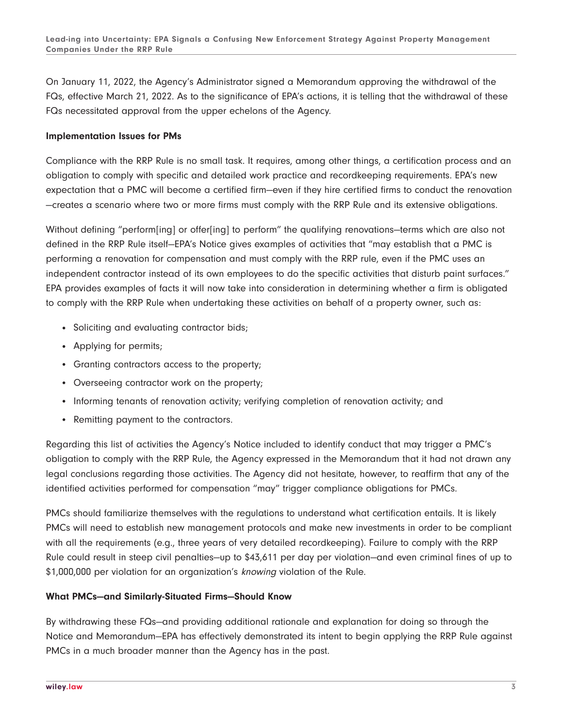On January 11, 2022, the Agency's Administrator signed a Memorandum approving the withdrawal of the FQs, effective March 21, 2022. As to the significance of EPA's actions, it is telling that the withdrawal of these FQs necessitated approval from the upper echelons of the Agency.

#### **Implementation Issues for PMs**

Compliance with the RRP Rule is no small task. It requires, among other things, a certification process and an obligation to comply with specific and detailed work practice and recordkeeping requirements. EPA's new expectation that a PMC will become a certified firm—even if they hire certified firms to conduct the renovation —creates a scenario where two or more firms must comply with the RRP Rule and its extensive obligations.

Without defining "perform[ing] or offer[ing] to perform" the qualifying renovations—terms which are also not defined in the RRP Rule itself—EPA's Notice gives examples of activities that "may establish that a PMC is performing a renovation for compensation and must comply with the RRP rule, even if the PMC uses an independent contractor instead of its own employees to do the specific activities that disturb paint surfaces." EPA provides examples of facts it will now take into consideration in determining whether a firm is obligated to comply with the RRP Rule when undertaking these activities on behalf of a property owner, such as:

- Soliciting and evaluating contractor bids;
- Applying for permits;
- Granting contractors access to the property;
- Overseeing contractor work on the property;
- Informing tenants of renovation activity; verifying completion of renovation activity; and
- Remitting payment to the contractors.

Regarding this list of activities the Agency's Notice included to identify conduct that may trigger a PMC's obligation to comply with the RRP Rule, the Agency expressed in the Memorandum that it had not drawn any legal conclusions regarding those activities. The Agency did not hesitate, however, to reaffirm that any of the identified activities performed for compensation "may" trigger compliance obligations for PMCs.

PMCs should familiarize themselves with the regulations to understand what certification entails. It is likely PMCs will need to establish new management protocols and make new investments in order to be compliant with all the requirements (e.g., three years of very detailed recordkeeping). Failure to comply with the RRP Rule could result in steep civil penalties—up to \$43,611 per day per violation—and even criminal fines of up to \$1,000,000 per violation for an organization's knowing violation of the Rule.

## **What PMCs—and Similarly-Situated Firms—Should Know**

By withdrawing these FQs—and providing additional rationale and explanation for doing so through the Notice and Memorandum—EPA has effectively demonstrated its intent to begin applying the RRP Rule against PMCs in a much broader manner than the Agency has in the past.